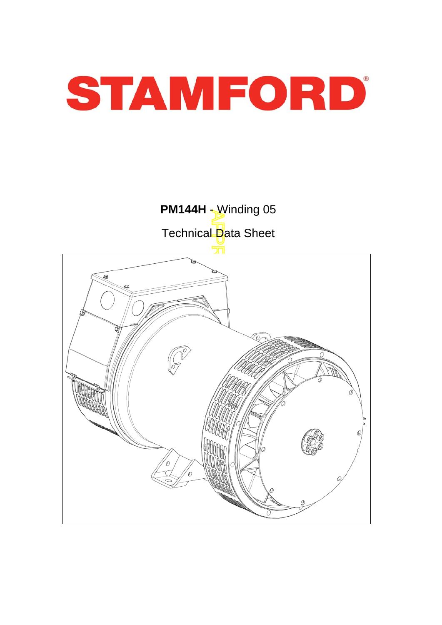

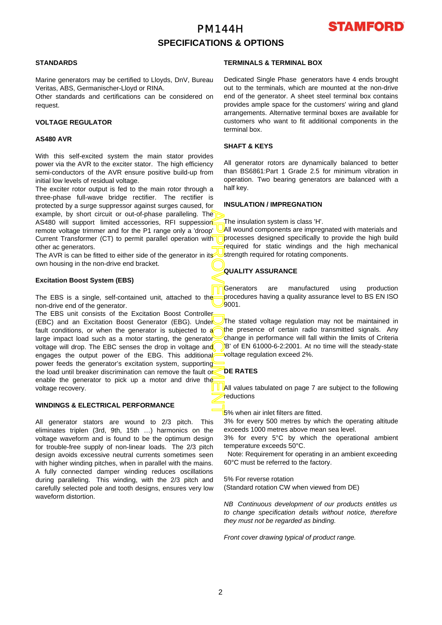# PM144H **SPECIFICATIONS & OPTIONS**



## **STANDARDS**

Marine generators may be certified to Lloyds, DnV, Bureau Veritas, ABS, Germanischer-Lloyd or RINA.

Other standards and certifications can be considered on request.

### **VOLTAGE REGULATOR**

### **AS480 AVR**

With this self-excited system the main stator provides power via the AVR to the exciter stator. The high efficiency semi-conductors of the AVR ensure positive build-up from initial low levels of residual voltage.

The exciter rotor output is fed to the main rotor through a three-phase full-wave bridge rectifier. The rectifier is protected by a surge suppressor against surges caused, fo r example, by short circuit or out-of-phase paralleling. The AS480 will support limited accessories, RFI suppession remote voltage trimmer and for the P1 range only a 'droop' Current Transformer (CT) to permit parallel operation with other ac generators.

The AVR is can be fitted to either side of the generator in its own housing in the non-drive end bracket.

#### **Excitation Boost System (EBS)**

The EBS is a single, self-contained unit, attached to the non-drive end of the generator.

APPROVED DOCUMENT The EBS unit consists of the Excitation Boost Controller (EBC) and an Excitation Boost Generator (EBG). Under fault conditions, or when the generator is subjected to a large impact load such as a motor starting, the generator voltage will drop. The EBC senses the drop in voltage and engages the output power of the EBG. This additional power feeds the generator's excitation system, supporting the load until breaker discrimination can remove the fault or enable the generator to pick up a motor and drive the voltage recovery.

## **WINDINGS & ELECTRICAL PERFORMANCE**

All generator stators are wound to 2/3 pitch. This eliminates triplen (3rd, 9th, 15th …) harmonics on the voltage waveform and is found to be the optimum design for trouble-free supply of non-linear loads. The 2/3 pitch design avoids excessive neutral currents sometimes seen with higher winding pitches, when in parallel with the mains. A fully connected damper winding reduces oscillations during paralleling. This winding, with the 2/3 pitch and carefully selected pole and tooth designs, ensures very low waveform distortion.

## **TERMINALS & TERMINAL BOX**

Dedicated Single Phase generators have 4 ends brought out to the terminals, which are mounted at the non-drive end of the generator. A sheet steel terminal box contains provides ample space for the customers' wiring and gland arrangements. Alternative terminal boxes are available fo r customers who want to fit additional components in the terminal box.

## **SHAFT & KEYS**

All generator rotors are dynamically balanced to better than BS6861:Part 1 Grade 2.5 for minimum vibration in operation. Two bearing generators are balanced with a half key.

## **INSULATION / IMPREGNATION**

The insulation system is class 'H'.

All wound components are impregnated with materials and processes designed specifically to provide the high build required for static windings and the high mechanical strength required for rotating components.

## **QUALITY ASSURANCE**

Generators are manufactured using production procedures having a quality assurance level to BS EN ISO 9001.

The stated voltage regulation may not be maintained in the presence of certain radio transmitted signals. Any change in performance will fall within the limits of Criteria B' of EN 61000-6-2:2001. At no time will the steady-state voltage regulation exceed 2%.

## **DE RATES**

All values tabulated on page 7 are subiect to the following reductions

5% when air inlet filters are fitted.

3% for every 500 metres by which the operating altitude exceeds 1000 metres above mean sea level.

3% for every 5°C by which the operational ambient temperature exceeds 50°C.

 Note: Requirement for operating in an ambient exceeding 60°C must be referred to the factory.

5% For reverse rotation

(Standard rotation CW when viewed from DE)

*NB Continuous development of our products entitles us to change specification details without notice, therefore they must not be regarded as binding.* 

*Front cover drawing typical of product range.*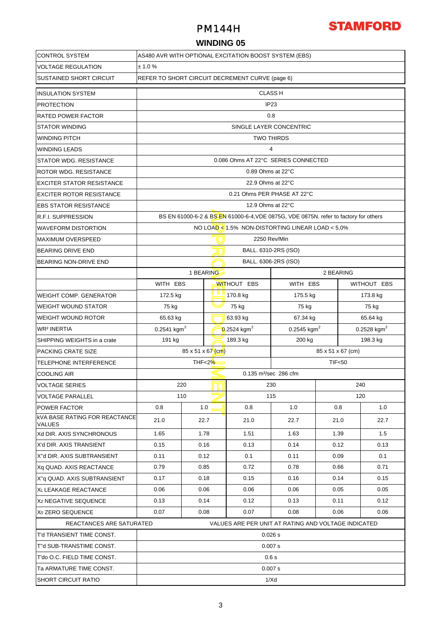## PM144H



## **WINDING 05**

| <b>CONTROL SYSTEM</b>                                 | AS480 AVR WITH OPTIONAL EXCITATION BOOST SYSTEM (EBS) |                                                                                      |                         |                                   |                                                     |           |                         |             |  |  |  |
|-------------------------------------------------------|-------------------------------------------------------|--------------------------------------------------------------------------------------|-------------------------|-----------------------------------|-----------------------------------------------------|-----------|-------------------------|-------------|--|--|--|
| <b>VOLTAGE REGULATION</b>                             | ± 1.0%                                                |                                                                                      |                         |                                   |                                                     |           |                         |             |  |  |  |
| <b>SUSTAINED SHORT CIRCUIT</b>                        |                                                       | REFER TO SHORT CIRCUIT DECREMENT CURVE (page 6)                                      |                         |                                   |                                                     |           |                         |             |  |  |  |
| <b>INSULATION SYSTEM</b>                              |                                                       |                                                                                      |                         |                                   | <b>CLASS H</b>                                      |           |                         |             |  |  |  |
| <b>PROTECTION</b>                                     | IP <sub>23</sub>                                      |                                                                                      |                         |                                   |                                                     |           |                         |             |  |  |  |
| <b>RATED POWER FACTOR</b>                             | 0.8                                                   |                                                                                      |                         |                                   |                                                     |           |                         |             |  |  |  |
| <b>STATOR WINDING</b>                                 | SINGLE LAYER CONCENTRIC                               |                                                                                      |                         |                                   |                                                     |           |                         |             |  |  |  |
| <b>WINDING PITCH</b>                                  | <b>TWO THIRDS</b>                                     |                                                                                      |                         |                                   |                                                     |           |                         |             |  |  |  |
| <b>WINDING LEADS</b>                                  | $\overline{4}$                                        |                                                                                      |                         |                                   |                                                     |           |                         |             |  |  |  |
| <b>STATOR WDG. RESISTANCE</b>                         | 0.086 Ohms AT 22°C SERIES CONNECTED                   |                                                                                      |                         |                                   |                                                     |           |                         |             |  |  |  |
| ROTOR WDG. RESISTANCE                                 | 0.89 Ohms at 22°C                                     |                                                                                      |                         |                                   |                                                     |           |                         |             |  |  |  |
| <b>EXCITER STATOR RESISTANCE</b>                      |                                                       | 22.9 Ohms at 22°C                                                                    |                         |                                   |                                                     |           |                         |             |  |  |  |
| <b>EXCITER ROTOR RESISTANCE</b>                       |                                                       | 0.21 Ohms PER PHASE AT 22°C                                                          |                         |                                   |                                                     |           |                         |             |  |  |  |
| <b>EBS STATOR RESISTANCE</b>                          |                                                       |                                                                                      |                         | 12.9 Ohms at 22°C                 |                                                     |           |                         |             |  |  |  |
| R.F.I. SUPPRESSION                                    |                                                       | BS EN 61000-6-2 & BS EN 61000-6-4, VDE 0875G, VDE 0875N. refer to factory for others |                         |                                   |                                                     |           |                         |             |  |  |  |
| <b>WAVEFORM DISTORTION</b>                            |                                                       |                                                                                      |                         |                                   | NO LOAD <1.5% NON-DISTORTING LINEAR LOAD <5.0%      |           |                         |             |  |  |  |
| <b>MAXIMUM OVERSPEED</b>                              | 2250 Rev/Min                                          |                                                                                      |                         |                                   |                                                     |           |                         |             |  |  |  |
| <b>BEARING DRIVE END</b>                              |                                                       |                                                                                      |                         |                                   | BALL. 6310-2RS (ISO)                                |           |                         |             |  |  |  |
| BEARING NON-DRIVE END                                 |                                                       |                                                                                      |                         |                                   | BALL. 6306-2RS (ISO)                                |           |                         |             |  |  |  |
|                                                       |                                                       |                                                                                      | 1 BEARING               |                                   |                                                     | 2 BEARING |                         |             |  |  |  |
|                                                       | WITH EBS                                              |                                                                                      |                         | <b>WITHOUT EBS</b>                | WITH EBS                                            |           |                         | WITHOUT EBS |  |  |  |
| <b>WEIGHT COMP. GENERATOR</b>                         | 172.5 kg                                              |                                                                                      | 170.8 kg                |                                   | 175.5 kg                                            |           | 173.8 kg                |             |  |  |  |
| <b>WEIGHT WOUND STATOR</b>                            | 75 kg                                                 |                                                                                      | 75 kg                   |                                   | 75 kg                                               |           | 75 kg                   |             |  |  |  |
| <b>WEIGHT WOUND ROTOR</b>                             | 65.63 kg                                              |                                                                                      | 63.93 kg                |                                   | 67.34 kg                                            |           | 65.64 kg                |             |  |  |  |
| <b>WR<sup>2</sup> INERTIA</b>                         | $0.2541$ kgm <sup>2</sup>                             |                                                                                      | 0.2524 kgm <sup>2</sup> |                                   | 0.2545 kgm <sup>2</sup>                             |           | 0.2528 kgm <sup>2</sup> |             |  |  |  |
| SHIPPING WEIGHTS in a crate                           | 191 kg                                                |                                                                                      |                         | 189.3 kg                          | 200 kg                                              |           |                         | 198.3 kg    |  |  |  |
| PACKING CRATE SIZE                                    | $85 \times 51 \times 67$ (cm)<br>85 x 51 x 67 (cm)    |                                                                                      |                         |                                   |                                                     |           |                         |             |  |  |  |
| TELEPHONE INTERFERENCE                                | THF<2%<br><b>TIF&lt;50</b>                            |                                                                                      |                         |                                   |                                                     |           |                         |             |  |  |  |
| <b>COOLING AIR</b>                                    |                                                       |                                                                                      |                         | 0.135 m <sup>3</sup> /sec 286 cfm |                                                     |           |                         |             |  |  |  |
| <b>VOLTAGE SERIES</b>                                 | 220                                                   |                                                                                      |                         |                                   | 230                                                 |           |                         | 240         |  |  |  |
| <b>VOLTAGE PARALLEL</b>                               |                                                       | 110                                                                                  |                         |                                   | 115                                                 |           | 120                     |             |  |  |  |
| <b>POWER FACTOR</b>                                   | 0.8                                                   |                                                                                      | 1.0                     | 0.8                               | 1.0                                                 | 0.8       |                         | 1.0         |  |  |  |
| <b>kVA BASE RATING FOR REACTANCE</b><br><b>VALUES</b> | 21.0                                                  |                                                                                      | 22.7                    | 21.0                              | 22.7                                                | 21.0      |                         | 22.7        |  |  |  |
| Xd DIR. AXIS SYNCHRONOUS                              | 1.65                                                  |                                                                                      | 1.78                    | 1.51                              | 1.63                                                | 1.39      |                         | 1.5         |  |  |  |
| X'd DIR. AXIS TRANSIENT                               | 0.15                                                  |                                                                                      | 0.16                    | 0.13                              | 0.14                                                | 0.12      |                         | 0.13        |  |  |  |
| X"d DIR. AXIS SUBTRANSIENT                            | 0.11                                                  |                                                                                      | 0.12                    | 0.1                               | 0.11                                                | 0.09      |                         | 0.1         |  |  |  |
| Xq QUAD. AXIS REACTANCE                               | 0.79                                                  |                                                                                      | 0.85                    | 0.72                              | 0.78                                                | 0.66      |                         | 0.71        |  |  |  |
| X"q QUAD. AXIS SUBTRANSIENT                           | 0.17                                                  |                                                                                      | 0.18                    | 0.15                              | 0.16                                                | 0.14      |                         | 0.15        |  |  |  |
| XL LEAKAGE REACTANCE                                  | 0.06                                                  | 0.06                                                                                 |                         | 0.06                              | 0.06                                                | 0.05      |                         | 0.05        |  |  |  |
| X <sub>2</sub> NEGATIVE SEQUENCE                      | 0.13                                                  | 0.14                                                                                 |                         | 0.12                              | 0.13                                                | 0.11      |                         | 0.12        |  |  |  |
| X <sub>0</sub> ZERO SEQUENCE                          | 0.07                                                  |                                                                                      | 0.08                    | 0.07                              | 0.08                                                | 0.06      |                         | 0.06        |  |  |  |
| REACTANCES ARE SATURATED                              |                                                       |                                                                                      |                         |                                   | VALUES ARE PER UNIT AT RATING AND VOLTAGE INDICATED |           |                         |             |  |  |  |
| T'd TRANSIENT TIME CONST.                             | 0.026 s                                               |                                                                                      |                         |                                   |                                                     |           |                         |             |  |  |  |
| T"d SUB-TRANSTIME CONST.                              | 0.007 s                                               |                                                                                      |                         |                                   |                                                     |           |                         |             |  |  |  |
| T'do O.C. FIELD TIME CONST.                           | 0.6s                                                  |                                                                                      |                         |                                   |                                                     |           |                         |             |  |  |  |
| Ta ARMATURE TIME CONST.                               | 0.007 s                                               |                                                                                      |                         |                                   |                                                     |           |                         |             |  |  |  |
| <b>SHORT CIRCUIT RATIO</b>                            | 1/Xd                                                  |                                                                                      |                         |                                   |                                                     |           |                         |             |  |  |  |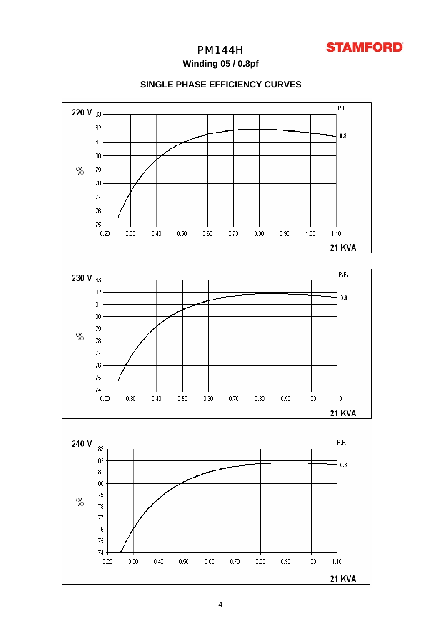

PM144H

**Winding 05 / 0.8pf**



80  $79$ 

 $0.30$ 

 $0.40$ 

 $0.50$ 

 $0.60\,$ 

 $0.70$ 

 $0.80$ 

 $0.90\,$ 

 $1.00$ 

 $1.10$ 

 $\%$ 

## **SINGLE PHASE EFFICIENCY CURVES**

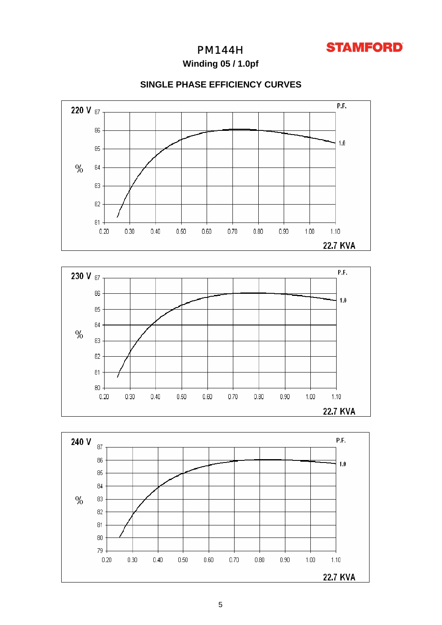

PM144H

**Winding 05 / 1.0pf**



## **SINGLE PHASE EFFICIENCY CURVES**



 $1.10$ 



80  $0.20$ 

 $0.30$ 

 $0.40$ 

 $0.50$ 

 $0.60^{\circ}$ 

 $0.70$ 

 $0.80$ 

 $0.90$ 

 $1.00$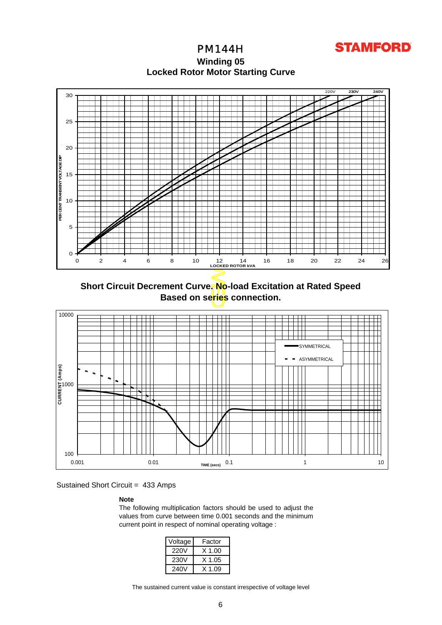**STAMFORD** 

**Locked Rotor Motor Startin g Curve** PM144H **Winding 05**



**Short Circuit Decrement Curve. No-load Excitation at Rated Speed Based on series connection.**



Sustained Short Circuit = 433 Amps

## **Note**

The following multiplication factors should be used to adjust the values from curve between time 0.001 seconds and the minimum current point in respect of nominal operating voltage :

| Voltage | Factor |
|---------|--------|
| 220V    | X 1.00 |
| 230V    | X 1.05 |
| 240V    | X 1 09 |

The sustained current value is constant irrespective of voltage level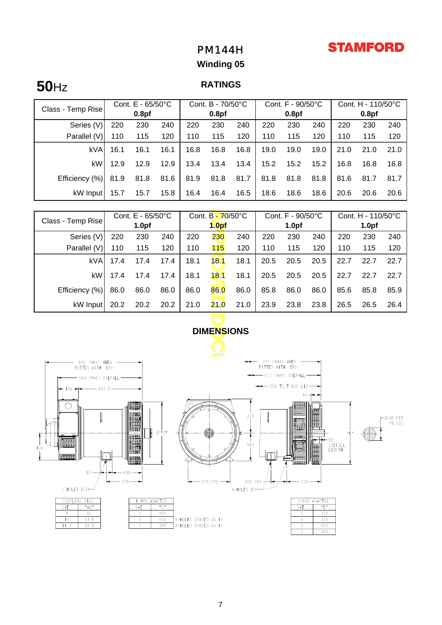# **STAMFORD**

# PM144H

# **Winding 05**

# **50**Hz **RATINGS**

| Class - Temp Rise | Cont. $E - 65/50^{\circ}C$ |                   |      | Cont. B - 70/50°C |                   |      | Cont. $F - 90/50^{\circ}C$ |                   |      | Cont. H - 110/50°C |                   |      |
|-------------------|----------------------------|-------------------|------|-------------------|-------------------|------|----------------------------|-------------------|------|--------------------|-------------------|------|
|                   |                            | 0.8 <sub>pf</sub> |      |                   | 0.8 <sub>pf</sub> |      |                            | 0.8 <sub>pf</sub> |      |                    | 0.8 <sub>pf</sub> |      |
| Series (V)        | 220                        | 230               | 240  | 220               | 230               | 240  | 220                        | 230               | 240  | 220                | 230               | 240  |
| Parallel (V)      | 110                        | 115               | 120  | 110               | 115               | 120  | 110                        | 115               | 120  | 110                | 115               | 120  |
| kVA               | 16.1                       | 16.1              | 16.1 | 16.8              | 16.8              | 16.8 | 19.0                       | 19.0              | 19.0 | 21.0               | 21.0              | 21.0 |
| kW                | 12.9                       | 12.9              | 12.9 | 13.4              | 13.4              | 13.4 | 15.2                       | 15.2              | 15.2 | 16.8               | 16.8              | 16.8 |
| Efficiency (%)    | 81.9                       | 81.8              | 81.6 | 81.9              | 81.8              | 81.7 | 81.8                       | 81.8              | 81.8 | 81.6               | 81.7              | 81.7 |
| kW Input          | 15.7                       | 15.7              | 15.8 | 16.4              | 16.4              | 16.5 | 18.6                       | 18.6              | 18.6 | 20.6               | 20.6              | 20.6 |

| Class - Temp Rise                                                          | Cont. E - 65/50°C |                   |      | Cont. B-70/50°C |                   |      | Cont. F - 90/50°C |                                                               |      | Cont. H - 110/50°C |                   |      |
|----------------------------------------------------------------------------|-------------------|-------------------|------|-----------------|-------------------|------|-------------------|---------------------------------------------------------------|------|--------------------|-------------------|------|
|                                                                            |                   | 1.0 <sub>pf</sub> |      |                 | 1.0 <sub>pf</sub> |      |                   | 1.0 <sub>pf</sub>                                             |      |                    | 1.0 <sub>pf</sub> |      |
| Series (V)                                                                 | 220               | 230               | 240  | 220             | 230               | 240  | 220               | 230                                                           | 240  | 220                | 230               | 240  |
| Parallel (V)                                                               | 110               | 115               | 120  | 110             | 115               | 120  | 110               | 115                                                           | 120  | 110                | 115               | 120  |
| kVA                                                                        | 17.4              | 17.4              | 17.4 | 18.1            | 18                | 18.1 | 20.5              | 20.5                                                          | 20.5 | 22.7               | 22.7              | 22.7 |
| kW                                                                         | 17.4              | 17.4              | 17.4 | 18.1            | 181               | 18.1 | 20.5              | 20.5                                                          | 20.5 | 22.7               | 22.7              | 22.7 |
| Efficiency (%)                                                             | 86.0              | 86.0              | 86.0 | 86.0            | 860               | 86.0 | 85.8              | 86.0                                                          | 86.0 | 85.6               | 85.8              | 85.9 |
| kW Input                                                                   | 20.2              | 20.2              | 20.2 | 21.0            | <u>24.0</u>       | 21.0 | 23.9              | 23.8                                                          | 23.8 | 26.5               | 26.5              | 26.4 |
|                                                                            |                   |                   |      |                 |                   |      |                   |                                                               |      |                    |                   |      |
|                                                                            |                   |                   |      |                 | <b>DIMENSIONS</b> |      |                   |                                                               |      |                    |                   |      |
|                                                                            |                   |                   |      |                 |                   |      |                   |                                                               |      |                    |                   |      |
| 754 (MAX) WHEN<br>646 (MAX) WHEN<br>FITTED WITH 'EBS'<br>FITTED WITH 'EBS' |                   |                   |      |                 |                   |      |                   |                                                               |      |                    |                   |      |
| $-$ 672 (MAX) OVERALL $-$<br>564 (MAX) OVERALL -                           |                   |                   |      |                 |                   |      |                   |                                                               |      |                    |                   |      |
| $\rightarrow$ 520 TO T/BOX LID<br>424.5<br>$36 -$                          |                   |                   |      |                 |                   |      |                   |                                                               |      |                    |                   |      |
| $65 +$                                                                     |                   |                   |      |                 |                   |      |                   |                                                               |      |                    |                   |      |
| Л.                                                                         |                   | IIII aaaaaa I     |      |                 |                   |      |                   | <b>III DOBBERO III I MARBETI</b><br>III QABBERO III III GABBI |      |                    |                   |      |